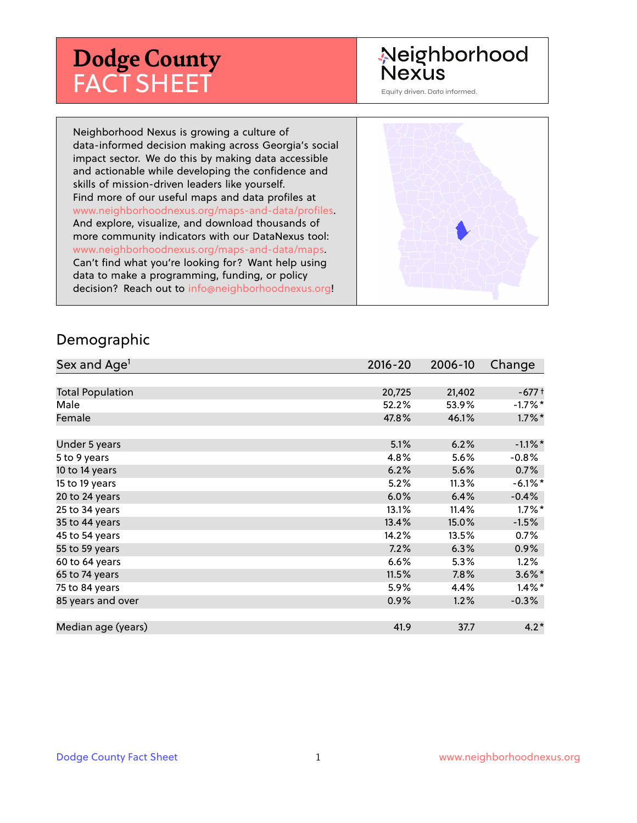# **Dodge County** FACT SHEET

# Neighborhood Nexus

Equity driven. Data informed.

Neighborhood Nexus is growing a culture of data-informed decision making across Georgia's social impact sector. We do this by making data accessible and actionable while developing the confidence and skills of mission-driven leaders like yourself. Find more of our useful maps and data profiles at www.neighborhoodnexus.org/maps-and-data/profiles. And explore, visualize, and download thousands of more community indicators with our DataNexus tool: www.neighborhoodnexus.org/maps-and-data/maps. Can't find what you're looking for? Want help using data to make a programming, funding, or policy decision? Reach out to [info@neighborhoodnexus.org!](mailto:info@neighborhoodnexus.org)



#### Demographic

| Sex and Age <sup>1</sup> | $2016 - 20$ | 2006-10 | Change     |
|--------------------------|-------------|---------|------------|
|                          |             |         |            |
| <b>Total Population</b>  | 20,725      | 21,402  | $-677+$    |
| Male                     | 52.2%       | 53.9%   | $-1.7\%$ * |
| Female                   | 47.8%       | 46.1%   | $1.7\%$ *  |
|                          |             |         |            |
| Under 5 years            | 5.1%        | 6.2%    | $-1.1\%$ * |
| 5 to 9 years             | 4.8%        | 5.6%    | $-0.8%$    |
| 10 to 14 years           | 6.2%        | 5.6%    | 0.7%       |
| 15 to 19 years           | 5.2%        | 11.3%   | $-6.1\%$ * |
| 20 to 24 years           | 6.0%        | 6.4%    | $-0.4%$    |
| 25 to 34 years           | 13.1%       | 11.4%   | $1.7\%$ *  |
| 35 to 44 years           | 13.4%       | 15.0%   | $-1.5%$    |
| 45 to 54 years           | 14.2%       | 13.5%   | $0.7\%$    |
| 55 to 59 years           | 7.2%        | 6.3%    | $0.9\%$    |
| 60 to 64 years           | 6.6%        | 5.3%    | 1.2%       |
| 65 to 74 years           | 11.5%       | 7.8%    | $3.6\%$ *  |
| 75 to 84 years           | 5.9%        | 4.4%    | $1.4\%$ *  |
| 85 years and over        | 0.9%        | 1.2%    | $-0.3\%$   |
|                          |             |         |            |
| Median age (years)       | 41.9        | 37.7    | $4.2*$     |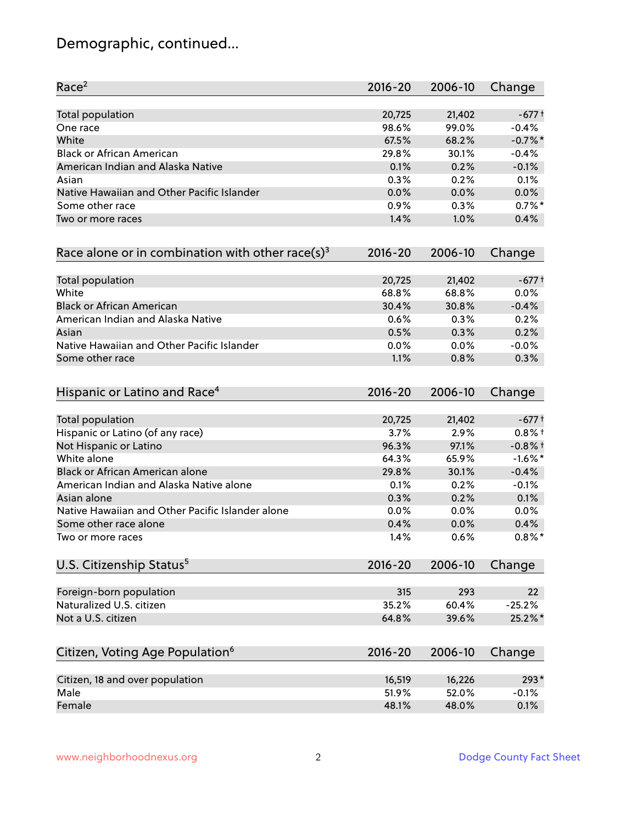# Demographic, continued...

| Race <sup>2</sup>                                             | $2016 - 20$  | 2006-10      | Change          |
|---------------------------------------------------------------|--------------|--------------|-----------------|
| <b>Total population</b>                                       | 20,725       | 21,402       | $-677+$         |
| One race                                                      | 98.6%        | 99.0%        | $-0.4%$         |
| White                                                         | 67.5%        | 68.2%        | $-0.7%$ *       |
| <b>Black or African American</b>                              | 29.8%        | 30.1%        | $-0.4%$         |
| American Indian and Alaska Native                             | 0.1%         | 0.2%         | $-0.1%$         |
| Asian                                                         | 0.3%         | 0.2%         | 0.1%            |
| Native Hawaiian and Other Pacific Islander                    | 0.0%         | 0.0%         | 0.0%            |
| Some other race                                               | 0.9%         | 0.3%         | $0.7%$ *        |
| Two or more races                                             | 1.4%         | 1.0%         | 0.4%            |
| Race alone or in combination with other race(s) <sup>3</sup>  | $2016 - 20$  | 2006-10      | Change          |
| Total population                                              | 20,725       | 21,402       | $-677+$         |
| White                                                         | 68.8%        | 68.8%        | 0.0%            |
| <b>Black or African American</b>                              | 30.4%        | 30.8%        | $-0.4%$         |
| American Indian and Alaska Native                             | 0.6%         | 0.3%         |                 |
| Asian                                                         |              |              | 0.2%<br>0.2%    |
|                                                               | 0.5%         | 0.3%         |                 |
| Native Hawaiian and Other Pacific Islander<br>Some other race | 0.0%<br>1.1% | 0.0%<br>0.8% | $-0.0%$<br>0.3% |
| Hispanic or Latino and Race <sup>4</sup>                      | $2016 - 20$  | 2006-10      | Change          |
|                                                               |              |              |                 |
| <b>Total population</b>                                       | 20,725       | 21,402       | $-677+$         |
| Hispanic or Latino (of any race)                              | 3.7%         | 2.9%         | $0.8%$ +        |
| Not Hispanic or Latino                                        | 96.3%        | 97.1%        | $-0.8%$ †       |
| White alone                                                   | 64.3%        | 65.9%        | $-1.6\%$ *      |
| Black or African American alone                               | 29.8%        | 30.1%        | $-0.4%$         |
| American Indian and Alaska Native alone                       | 0.1%         | 0.2%         | $-0.1%$         |
| Asian alone                                                   | 0.3%         | 0.2%         | 0.1%            |
| Native Hawaiian and Other Pacific Islander alone              | 0.0%         | 0.0%         | 0.0%            |
| Some other race alone                                         | 0.4%         | 0.0%         | 0.4%            |
| Two or more races                                             | 1.4%         | 0.6%         | $0.8\%$ *       |
| U.S. Citizenship Status <sup>5</sup>                          | $2016 - 20$  | 2006-10      | Change          |
| Foreign-born population                                       | 315          | 293          | 22              |
| Naturalized U.S. citizen                                      | 35.2%        | 60.4%        | $-25.2%$        |
| Not a U.S. citizen                                            | 64.8%        | 39.6%        | 25.2%*          |
|                                                               |              |              |                 |
| Citizen, Voting Age Population <sup>6</sup>                   | $2016 - 20$  | 2006-10      | Change          |
| Citizen, 18 and over population                               | 16,519       | 16,226       | 293*            |
| Male                                                          | 51.9%        | 52.0%        | $-0.1%$         |
| Female                                                        | 48.1%        | 48.0%        | 0.1%            |
|                                                               |              |              |                 |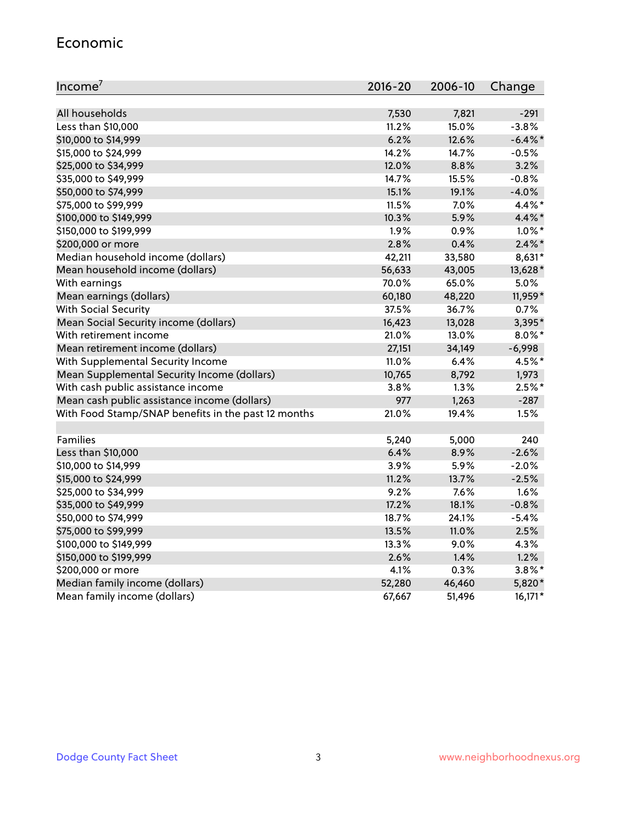#### Economic

| Income <sup>7</sup>                                 | $2016 - 20$ | 2006-10 | Change     |
|-----------------------------------------------------|-------------|---------|------------|
|                                                     |             |         |            |
| All households                                      | 7,530       | 7,821   | $-291$     |
| Less than \$10,000                                  | 11.2%       | 15.0%   | $-3.8%$    |
| \$10,000 to \$14,999                                | 6.2%        | 12.6%   | $-6.4\%$ * |
| \$15,000 to \$24,999                                | 14.2%       | 14.7%   | $-0.5%$    |
| \$25,000 to \$34,999                                | 12.0%       | 8.8%    | 3.2%       |
| \$35,000 to \$49,999                                | 14.7%       | 15.5%   | $-0.8%$    |
| \$50,000 to \$74,999                                | 15.1%       | 19.1%   | $-4.0%$    |
| \$75,000 to \$99,999                                | 11.5%       | 7.0%    | 4.4%*      |
| \$100,000 to \$149,999                              | 10.3%       | 5.9%    | 4.4%*      |
| \$150,000 to \$199,999                              | 1.9%        | 0.9%    | $1.0\%$ *  |
| \$200,000 or more                                   | 2.8%        | 0.4%    | $2.4\%$ *  |
| Median household income (dollars)                   | 42,211      | 33,580  | 8,631*     |
| Mean household income (dollars)                     | 56,633      | 43,005  | 13,628*    |
| With earnings                                       | 70.0%       | 65.0%   | 5.0%       |
| Mean earnings (dollars)                             | 60,180      | 48,220  | 11,959*    |
| <b>With Social Security</b>                         | 37.5%       | 36.7%   | 0.7%       |
| Mean Social Security income (dollars)               | 16,423      | 13,028  | 3,395*     |
| With retirement income                              | 21.0%       | 13.0%   | $8.0\%$ *  |
| Mean retirement income (dollars)                    | 27,151      | 34,149  | $-6,998$   |
| With Supplemental Security Income                   | 11.0%       | 6.4%    | 4.5%*      |
| Mean Supplemental Security Income (dollars)         | 10,765      | 8,792   | 1,973      |
| With cash public assistance income                  | 3.8%        | 1.3%    | $2.5%$ *   |
| Mean cash public assistance income (dollars)        | 977         | 1,263   | $-287$     |
| With Food Stamp/SNAP benefits in the past 12 months | 21.0%       | 19.4%   | 1.5%       |
|                                                     |             |         |            |
| Families                                            | 5,240       | 5,000   | 240        |
| Less than \$10,000                                  | 6.4%        | 8.9%    | $-2.6%$    |
| \$10,000 to \$14,999                                | 3.9%        | 5.9%    | $-2.0%$    |
| \$15,000 to \$24,999                                | 11.2%       | 13.7%   | $-2.5%$    |
| \$25,000 to \$34,999                                | 9.2%        | 7.6%    | 1.6%       |
| \$35,000 to \$49,999                                | 17.2%       | 18.1%   | $-0.8%$    |
| \$50,000 to \$74,999                                | 18.7%       | 24.1%   | $-5.4%$    |
| \$75,000 to \$99,999                                | 13.5%       | 11.0%   | 2.5%       |
| \$100,000 to \$149,999                              | 13.3%       | $9.0\%$ | 4.3%       |
| \$150,000 to \$199,999                              | 2.6%        | 1.4%    | 1.2%       |
| \$200,000 or more                                   | 4.1%        | 0.3%    | $3.8\%$ *  |
| Median family income (dollars)                      | 52,280      | 46,460  | 5,820*     |
| Mean family income (dollars)                        | 67,667      | 51,496  | $16,171*$  |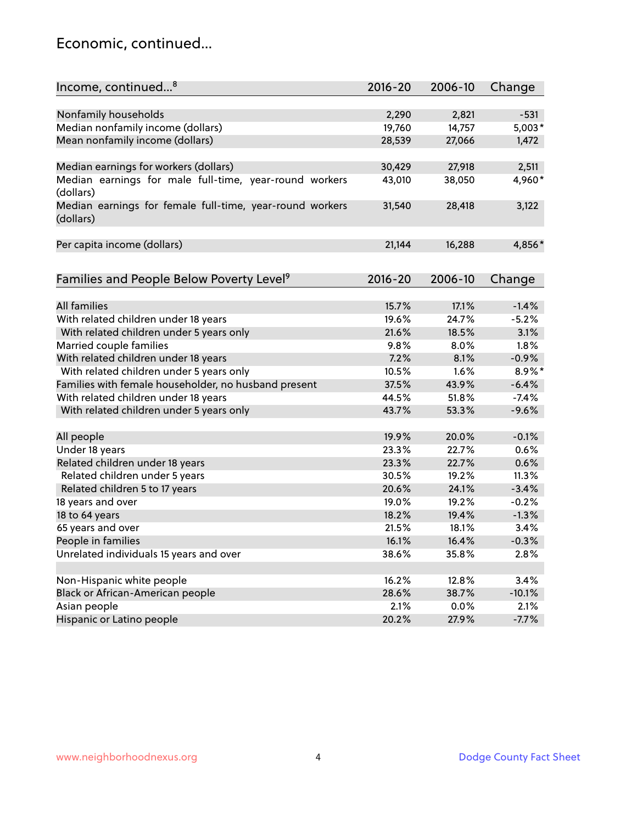### Economic, continued...

| Income, continued <sup>8</sup>                           | $2016 - 20$ | 2006-10 | Change    |
|----------------------------------------------------------|-------------|---------|-----------|
|                                                          |             |         |           |
| Nonfamily households                                     | 2,290       | 2,821   | $-531$    |
| Median nonfamily income (dollars)                        | 19,760      | 14,757  | $5,003*$  |
| Mean nonfamily income (dollars)                          | 28,539      | 27,066  | 1,472     |
|                                                          |             |         |           |
| Median earnings for workers (dollars)                    | 30,429      | 27,918  | 2,511     |
| Median earnings for male full-time, year-round workers   | 43,010      | 38,050  | 4,960*    |
| (dollars)                                                |             |         |           |
| Median earnings for female full-time, year-round workers | 31,540      | 28,418  | 3,122     |
| (dollars)                                                |             |         |           |
|                                                          |             |         |           |
| Per capita income (dollars)                              | 21,144      | 16,288  | 4,856*    |
|                                                          |             |         |           |
| Families and People Below Poverty Level <sup>9</sup>     | $2016 - 20$ | 2006-10 | Change    |
|                                                          |             |         |           |
| <b>All families</b>                                      | 15.7%       | 17.1%   | $-1.4%$   |
| With related children under 18 years                     | 19.6%       | 24.7%   | $-5.2%$   |
| With related children under 5 years only                 | 21.6%       | 18.5%   | 3.1%      |
| Married couple families                                  | 9.8%        | 8.0%    | 1.8%      |
| With related children under 18 years                     | 7.2%        | 8.1%    | $-0.9%$   |
| With related children under 5 years only                 | 10.5%       | 1.6%    | $8.9\%$ * |
| Families with female householder, no husband present     | 37.5%       | 43.9%   | $-6.4%$   |
| With related children under 18 years                     | 44.5%       | 51.8%   | $-7.4%$   |
| With related children under 5 years only                 | 43.7%       | 53.3%   | $-9.6%$   |
|                                                          |             |         |           |
| All people                                               | 19.9%       | 20.0%   | $-0.1%$   |
| Under 18 years                                           | 23.3%       | 22.7%   | 0.6%      |
| Related children under 18 years                          | 23.3%       | 22.7%   | 0.6%      |
| Related children under 5 years                           | 30.5%       | 19.2%   | 11.3%     |
| Related children 5 to 17 years                           | 20.6%       | 24.1%   | $-3.4%$   |
| 18 years and over                                        | 19.0%       | 19.2%   | $-0.2%$   |
| 18 to 64 years                                           | 18.2%       | 19.4%   | $-1.3%$   |
| 65 years and over                                        | 21.5%       | 18.1%   | 3.4%      |
| People in families                                       | 16.1%       | 16.4%   | $-0.3%$   |
| Unrelated individuals 15 years and over                  | 38.6%       | 35.8%   | 2.8%      |
|                                                          |             |         |           |
| Non-Hispanic white people                                | 16.2%       | 12.8%   | 3.4%      |
| Black or African-American people                         | 28.6%       | 38.7%   | $-10.1%$  |
| Asian people                                             | 2.1%        | 0.0%    | 2.1%      |
| Hispanic or Latino people                                | 20.2%       | 27.9%   | $-7.7%$   |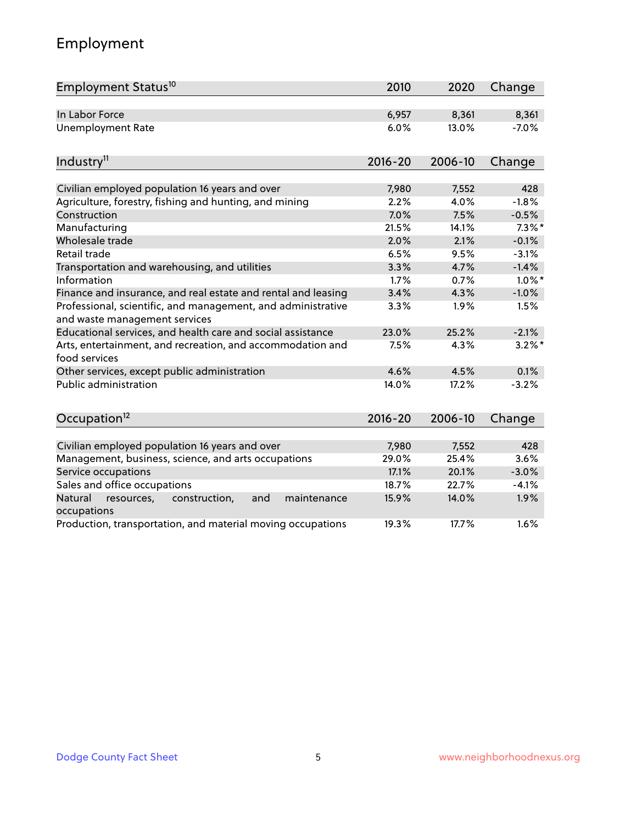# Employment

| Employment Status <sup>10</sup>                                                               | 2010        | 2020    | Change    |
|-----------------------------------------------------------------------------------------------|-------------|---------|-----------|
| In Labor Force                                                                                | 6,957       | 8,361   | 8,361     |
| Unemployment Rate                                                                             | 6.0%        | 13.0%   | $-7.0%$   |
| Industry <sup>11</sup>                                                                        | $2016 - 20$ | 2006-10 | Change    |
|                                                                                               |             |         |           |
| Civilian employed population 16 years and over                                                | 7,980       | 7,552   | 428       |
| Agriculture, forestry, fishing and hunting, and mining                                        | 2.2%        | 4.0%    | $-1.8%$   |
| Construction                                                                                  | 7.0%        | 7.5%    | $-0.5%$   |
| Manufacturing                                                                                 | 21.5%       | 14.1%   | $7.3\%$ * |
| Wholesale trade                                                                               | 2.0%        | 2.1%    | $-0.1%$   |
| Retail trade                                                                                  | 6.5%        | 9.5%    | $-3.1%$   |
| Transportation and warehousing, and utilities                                                 | 3.3%        | 4.7%    | $-1.4%$   |
| Information                                                                                   | 1.7%        | 0.7%    | $1.0\%$ * |
| Finance and insurance, and real estate and rental and leasing                                 | 3.4%        | 4.3%    | $-1.0%$   |
| Professional, scientific, and management, and administrative<br>and waste management services | 3.3%        | 1.9%    | 1.5%      |
| Educational services, and health care and social assistance                                   | 23.0%       | 25.2%   | $-2.1%$   |
| Arts, entertainment, and recreation, and accommodation and<br>food services                   | 7.5%        | 4.3%    | $3.2\%$ * |
| Other services, except public administration                                                  | 4.6%        | 4.5%    | 0.1%      |
| <b>Public administration</b>                                                                  | 14.0%       | 17.2%   | $-3.2%$   |
| Occupation <sup>12</sup>                                                                      | $2016 - 20$ | 2006-10 | Change    |
|                                                                                               |             |         |           |
| Civilian employed population 16 years and over                                                | 7,980       | 7,552   | 428       |
| Management, business, science, and arts occupations                                           | 29.0%       | 25.4%   | 3.6%      |
| Service occupations                                                                           | 17.1%       | 20.1%   | $-3.0%$   |
| Sales and office occupations                                                                  | 18.7%       | 22.7%   | $-4.1%$   |
| Natural<br>resources,<br>construction,<br>and<br>maintenance<br>occupations                   | 15.9%       | 14.0%   | 1.9%      |
| Production, transportation, and material moving occupations                                   | 19.3%       | 17.7%   | 1.6%      |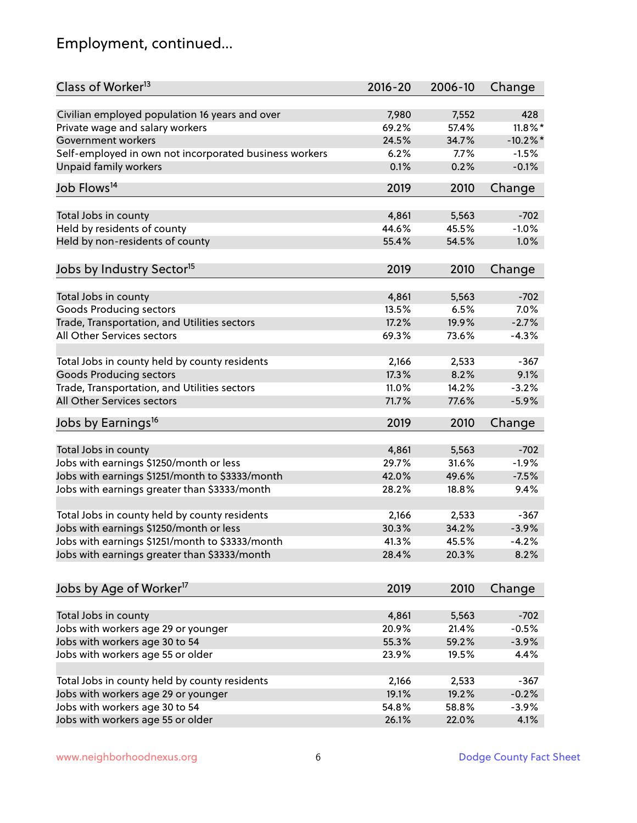# Employment, continued...

| Class of Worker <sup>13</sup>                          | $2016 - 20$ | 2006-10 | Change      |
|--------------------------------------------------------|-------------|---------|-------------|
| Civilian employed population 16 years and over         | 7,980       | 7,552   | 428         |
| Private wage and salary workers                        | 69.2%       | 57.4%   | $11.8\%$ *  |
| Government workers                                     | 24.5%       | 34.7%   | $-10.2\%$ * |
| Self-employed in own not incorporated business workers | 6.2%        | 7.7%    | $-1.5%$     |
| Unpaid family workers                                  | 0.1%        | 0.2%    | $-0.1%$     |
| Job Flows <sup>14</sup>                                | 2019        | 2010    | Change      |
|                                                        |             |         |             |
| Total Jobs in county                                   | 4,861       | 5,563   | $-702$      |
| Held by residents of county                            | 44.6%       | 45.5%   | $-1.0%$     |
| Held by non-residents of county                        | 55.4%       | 54.5%   | 1.0%        |
| Jobs by Industry Sector <sup>15</sup>                  | 2019        | 2010    | Change      |
| Total Jobs in county                                   | 4,861       | 5,563   | $-702$      |
| Goods Producing sectors                                | 13.5%       | 6.5%    | 7.0%        |
| Trade, Transportation, and Utilities sectors           | 17.2%       | 19.9%   | $-2.7%$     |
| All Other Services sectors                             |             |         |             |
|                                                        | 69.3%       | 73.6%   | $-4.3%$     |
| Total Jobs in county held by county residents          | 2,166       | 2,533   | $-367$      |
| <b>Goods Producing sectors</b>                         | 17.3%       | 8.2%    | 9.1%        |
| Trade, Transportation, and Utilities sectors           | 11.0%       | 14.2%   | $-3.2%$     |
| All Other Services sectors                             | 71.7%       | 77.6%   | $-5.9%$     |
| Jobs by Earnings <sup>16</sup>                         | 2019        | 2010    | Change      |
|                                                        |             |         |             |
| Total Jobs in county                                   | 4,861       | 5,563   | $-702$      |
| Jobs with earnings \$1250/month or less                | 29.7%       | 31.6%   | $-1.9%$     |
| Jobs with earnings \$1251/month to \$3333/month        | 42.0%       | 49.6%   | $-7.5%$     |
| Jobs with earnings greater than \$3333/month           | 28.2%       | 18.8%   | 9.4%        |
| Total Jobs in county held by county residents          | 2,166       | 2,533   | $-367$      |
| Jobs with earnings \$1250/month or less                | 30.3%       | 34.2%   | $-3.9%$     |
| Jobs with earnings \$1251/month to \$3333/month        | 41.3%       | 45.5%   | $-4.2\%$    |
| Jobs with earnings greater than \$3333/month           | 28.4%       | 20.3%   | 8.2%        |
|                                                        |             |         |             |
| Jobs by Age of Worker <sup>17</sup>                    | 2019        | 2010    | Change      |
| Total Jobs in county                                   | 4,861       | 5,563   | $-702$      |
| Jobs with workers age 29 or younger                    | 20.9%       | 21.4%   | $-0.5%$     |
| Jobs with workers age 30 to 54                         | 55.3%       | 59.2%   | $-3.9%$     |
| Jobs with workers age 55 or older                      | 23.9%       | 19.5%   | 4.4%        |
|                                                        |             |         |             |
| Total Jobs in county held by county residents          | 2,166       | 2,533   | $-367$      |
| Jobs with workers age 29 or younger                    | 19.1%       | 19.2%   | $-0.2%$     |
| Jobs with workers age 30 to 54                         | 54.8%       | 58.8%   | $-3.9%$     |
| Jobs with workers age 55 or older                      | 26.1%       | 22.0%   | 4.1%        |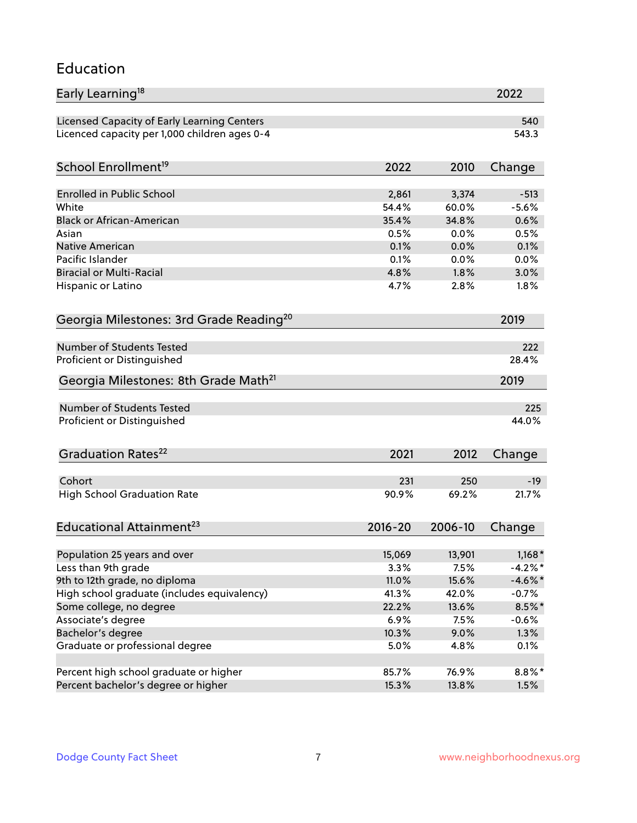### Education

| Early Learning <sup>18</sup>                        |              |              | 2022         |
|-----------------------------------------------------|--------------|--------------|--------------|
| Licensed Capacity of Early Learning Centers         |              |              | 540          |
| Licenced capacity per 1,000 children ages 0-4       |              |              | 543.3        |
| School Enrollment <sup>19</sup>                     | 2022         | 2010         | Change       |
|                                                     |              |              |              |
| <b>Enrolled in Public School</b>                    | 2,861        | 3,374        | $-513$       |
| White<br><b>Black or African-American</b>           | 54.4%        | 60.0%        | $-5.6%$      |
|                                                     | 35.4%        | 34.8%        | 0.6%         |
| Asian                                               | 0.5%         | 0.0%         | 0.5%         |
| <b>Native American</b><br>Pacific Islander          | 0.1%<br>0.1% | 0.0%         | 0.1%         |
| <b>Biracial or Multi-Racial</b>                     | 4.8%         | 0.0%<br>1.8% | 0.0%<br>3.0% |
|                                                     |              |              |              |
| Hispanic or Latino                                  | 4.7%         | 2.8%         | 1.8%         |
| Georgia Milestones: 3rd Grade Reading <sup>20</sup> |              |              | 2019         |
| Number of Students Tested                           |              |              | 222          |
| Proficient or Distinguished                         |              |              | 28.4%        |
|                                                     |              |              |              |
| Georgia Milestones: 8th Grade Math <sup>21</sup>    |              |              | 2019         |
| <b>Number of Students Tested</b>                    |              |              | 225          |
| Proficient or Distinguished                         |              |              | 44.0%        |
| Graduation Rates <sup>22</sup>                      | 2021         | 2012         | Change       |
|                                                     |              |              |              |
| Cohort                                              | 231          | 250          | $-19$        |
| <b>High School Graduation Rate</b>                  | 90.9%        | 69.2%        | 21.7%        |
| Educational Attainment <sup>23</sup>                | $2016 - 20$  | 2006-10      | Change       |
| Population 25 years and over                        | 15,069       | 13,901       | $1,168*$     |
| Less than 9th grade                                 | 3.3%         | 7.5%         | $-4.2\%$ *   |
| 9th to 12th grade, no diploma                       | 11.0%        | 15.6%        | $-4.6\%$ *   |
| High school graduate (includes equivalency)         | 41.3%        | 42.0%        | $-0.7%$      |
| Some college, no degree                             | 22.2%        | 13.6%        | $8.5\%$ *    |
| Associate's degree                                  | 6.9%         | 7.5%         | $-0.6%$      |
| Bachelor's degree                                   | 10.3%        | 9.0%         | 1.3%         |
| Graduate or professional degree                     | 5.0%         | 4.8%         | 0.1%         |
|                                                     |              |              |              |
| Percent high school graduate or higher              | 85.7%        | 76.9%        | $8.8\%$ *    |
| Percent bachelor's degree or higher                 | 15.3%        | 13.8%        | 1.5%         |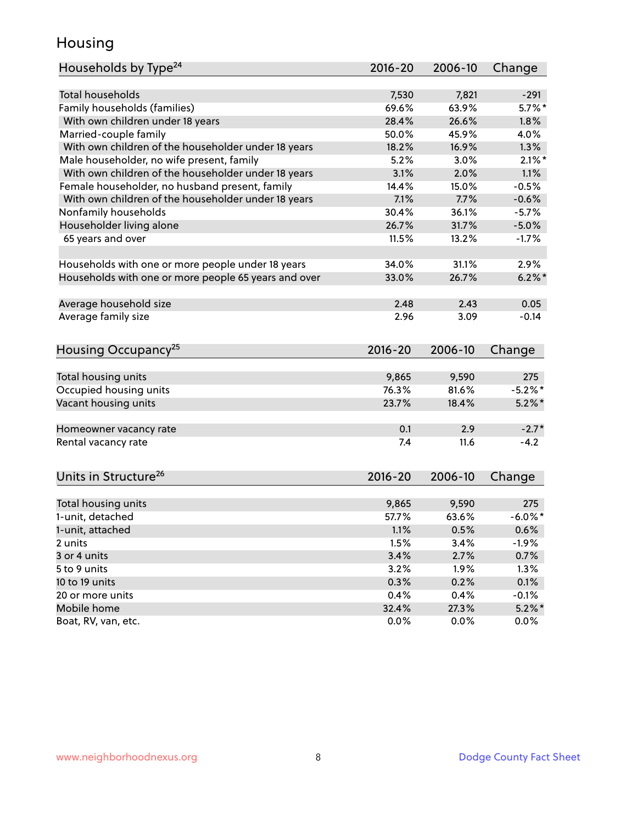### Housing

| Households by Type <sup>24</sup>                     | 2016-20     | 2006-10 | Change     |
|------------------------------------------------------|-------------|---------|------------|
|                                                      |             |         |            |
| Total households                                     | 7,530       | 7,821   | $-291$     |
| Family households (families)                         | 69.6%       | 63.9%   | $5.7\%$ *  |
| With own children under 18 years                     | 28.4%       | 26.6%   | 1.8%       |
| Married-couple family                                | 50.0%       | 45.9%   | 4.0%       |
| With own children of the householder under 18 years  | 18.2%       | 16.9%   | 1.3%       |
| Male householder, no wife present, family            | 5.2%        | 3.0%    | $2.1\%$ *  |
| With own children of the householder under 18 years  | 3.1%        | 2.0%    | 1.1%       |
| Female householder, no husband present, family       | 14.4%       | 15.0%   | $-0.5%$    |
| With own children of the householder under 18 years  | 7.1%        | 7.7%    | $-0.6%$    |
| Nonfamily households                                 | 30.4%       | 36.1%   | $-5.7%$    |
| Householder living alone                             | 26.7%       | 31.7%   | $-5.0%$    |
| 65 years and over                                    | 11.5%       | 13.2%   | $-1.7%$    |
|                                                      |             |         |            |
| Households with one or more people under 18 years    | 34.0%       | 31.1%   | 2.9%       |
| Households with one or more people 65 years and over | 33.0%       | 26.7%   | $6.2\%$ *  |
|                                                      |             |         |            |
| Average household size                               | 2.48        | 2.43    | 0.05       |
| Average family size                                  | 2.96        | 3.09    | $-0.14$    |
|                                                      |             |         |            |
| Housing Occupancy <sup>25</sup>                      | 2016-20     | 2006-10 | Change     |
|                                                      |             |         |            |
| Total housing units                                  | 9,865       | 9,590   | 275        |
| Occupied housing units                               | 76.3%       | 81.6%   | $-5.2\%$ * |
| Vacant housing units                                 | 23.7%       | 18.4%   | $5.2\%$ *  |
|                                                      |             |         |            |
| Homeowner vacancy rate                               | 0.1         | 2.9     | $-2.7*$    |
| Rental vacancy rate                                  | 7.4         | 11.6    | $-4.2$     |
|                                                      |             |         |            |
|                                                      |             |         |            |
| Units in Structure <sup>26</sup>                     | $2016 - 20$ | 2006-10 | Change     |
| Total housing units                                  | 9,865       | 9,590   | 275        |
| 1-unit, detached                                     | 57.7%       | 63.6%   | $-6.0\%$ * |
| 1-unit, attached                                     | 1.1%        | 0.5%    | 0.6%       |
| 2 units                                              | 1.5%        | 3.4%    | $-1.9%$    |
| 3 or 4 units                                         | 3.4%        | 2.7%    | 0.7%       |
| 5 to 9 units                                         |             | 1.9%    | 1.3%       |
|                                                      | 3.2%        |         |            |
| 10 to 19 units                                       | 0.3%        | 0.2%    | 0.1%       |
| 20 or more units                                     | 0.4%        | 0.4%    | $-0.1%$    |
| Mobile home                                          | 32.4%       | 27.3%   | $5.2\%$ *  |
| Boat, RV, van, etc.                                  | 0.0%        | 0.0%    | $0.0\%$    |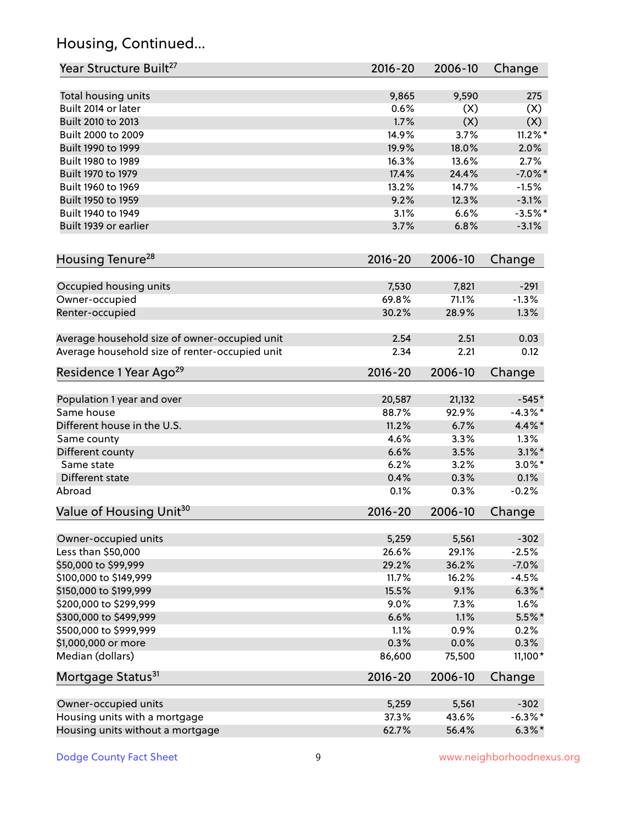# Housing, Continued...

| Year Structure Built <sup>27</sup>             | 2016-20     | 2006-10 | Change     |
|------------------------------------------------|-------------|---------|------------|
| Total housing units                            | 9,865       | 9,590   | 275        |
| Built 2014 or later                            | 0.6%        | (X)     | (X)        |
| Built 2010 to 2013                             | 1.7%        | (X)     | (X)        |
| Built 2000 to 2009                             | 14.9%       | 3.7%    | $11.2\%$ * |
| Built 1990 to 1999                             | 19.9%       | 18.0%   | 2.0%       |
| Built 1980 to 1989                             | 16.3%       | 13.6%   | 2.7%       |
| Built 1970 to 1979                             | 17.4%       | 24.4%   | $-7.0\%$ * |
| Built 1960 to 1969                             | 13.2%       | 14.7%   | $-1.5%$    |
| Built 1950 to 1959                             | 9.2%        | 12.3%   | $-3.1%$    |
| Built 1940 to 1949                             | 3.1%        | 6.6%    | $-3.5%$ *  |
| Built 1939 or earlier                          | 3.7%        | 6.8%    | $-3.1%$    |
| Housing Tenure <sup>28</sup>                   | 2016-20     | 2006-10 | Change     |
|                                                |             |         |            |
| Occupied housing units                         | 7,530       | 7,821   | $-291$     |
| Owner-occupied                                 | 69.8%       | 71.1%   | $-1.3%$    |
| Renter-occupied                                | 30.2%       | 28.9%   | 1.3%       |
| Average household size of owner-occupied unit  | 2.54        | 2.51    | 0.03       |
| Average household size of renter-occupied unit | 2.34        | 2.21    | 0.12       |
| Residence 1 Year Ago <sup>29</sup>             | 2016-20     | 2006-10 | Change     |
| Population 1 year and over                     | 20,587      | 21,132  | $-545*$    |
| Same house                                     | 88.7%       | 92.9%   | $-4.3\%$ * |
| Different house in the U.S.                    | 11.2%       | 6.7%    | 4.4%*      |
| Same county                                    | 4.6%        | 3.3%    | 1.3%       |
| Different county                               | 6.6%        | 3.5%    | $3.1\%$ *  |
| Same state                                     | 6.2%        | 3.2%    | $3.0\%$ *  |
| Different state                                | 0.4%        | 0.3%    | 0.1%       |
| Abroad                                         | 0.1%        | 0.3%    | $-0.2%$    |
| Value of Housing Unit <sup>30</sup>            | 2016-20     | 2006-10 | Change     |
|                                                |             |         |            |
| Owner-occupied units                           | 5,259       | 5,561   | $-302$     |
| Less than \$50,000                             | 26.6%       | 29.1%   | $-2.5%$    |
| \$50,000 to \$99,999                           | 29.2%       | 36.2%   | $-7.0%$    |
| \$100,000 to \$149,999                         | 11.7%       | 16.2%   | $-4.5%$    |
| \$150,000 to \$199,999                         | 15.5%       | 9.1%    | $6.3\%$ *  |
| \$200,000 to \$299,999                         | 9.0%        | 7.3%    | 1.6%       |
| \$300,000 to \$499,999                         | 6.6%        | 1.1%    | $5.5\%$ *  |
| \$500,000 to \$999,999                         | 1.1%        | 0.9%    | 0.2%       |
| \$1,000,000 or more                            | 0.3%        | 0.0%    | 0.3%       |
| Median (dollars)                               | 86,600      | 75,500  | 11,100*    |
| Mortgage Status <sup>31</sup>                  | $2016 - 20$ | 2006-10 | Change     |
| Owner-occupied units                           | 5,259       | 5,561   | $-302$     |
| Housing units with a mortgage                  | 37.3%       | 43.6%   | $-6.3\%$ * |
| Housing units without a mortgage               | 62.7%       | 56.4%   | $6.3\%*$   |
|                                                |             |         |            |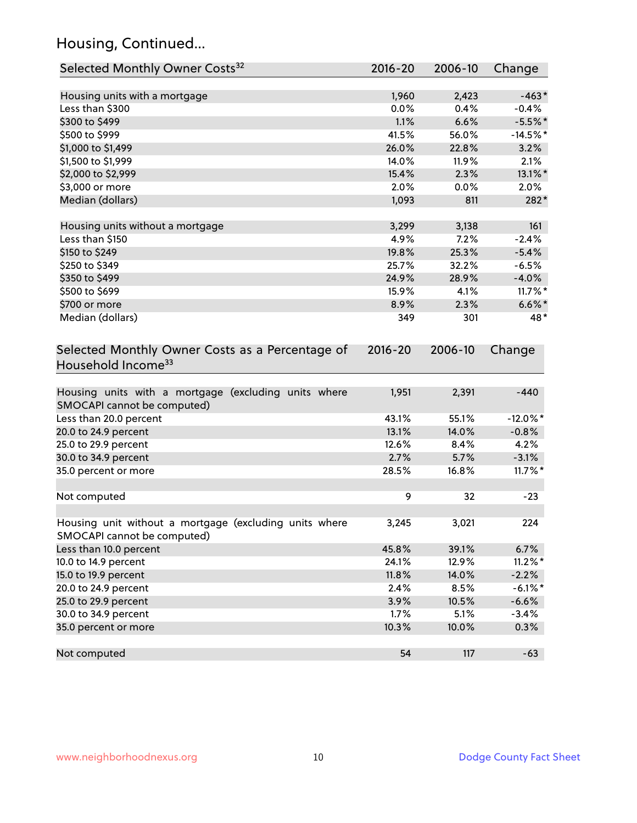# Housing, Continued...

| Selected Monthly Owner Costs <sup>32</sup>                                            | 2016-20 | 2006-10 | Change      |
|---------------------------------------------------------------------------------------|---------|---------|-------------|
| Housing units with a mortgage                                                         | 1,960   | 2,423   | $-463*$     |
| Less than \$300                                                                       | 0.0%    | 0.4%    | $-0.4%$     |
| \$300 to \$499                                                                        | 1.1%    | 6.6%    | $-5.5%$ *   |
| \$500 to \$999                                                                        | 41.5%   | 56.0%   | $-14.5%$ *  |
| \$1,000 to \$1,499                                                                    | 26.0%   | 22.8%   | 3.2%        |
| \$1,500 to \$1,999                                                                    | 14.0%   | 11.9%   | 2.1%        |
| \$2,000 to \$2,999                                                                    | 15.4%   | 2.3%    | 13.1%*      |
| \$3,000 or more                                                                       | 2.0%    | 0.0%    | 2.0%        |
| Median (dollars)                                                                      | 1,093   | 811     | 282*        |
| Housing units without a mortgage                                                      | 3,299   | 3,138   | 161         |
| Less than \$150                                                                       | 4.9%    | 7.2%    | $-2.4%$     |
| \$150 to \$249                                                                        | 19.8%   | 25.3%   | $-5.4%$     |
| \$250 to \$349                                                                        | 25.7%   | 32.2%   | $-6.5%$     |
| \$350 to \$499                                                                        | 24.9%   | 28.9%   | $-4.0%$     |
| \$500 to \$699                                                                        | 15.9%   | 4.1%    | $11.7\%$ *  |
| \$700 or more                                                                         | 8.9%    | 2.3%    | $6.6\%$ *   |
| Median (dollars)                                                                      | 349     | 301     | 48*         |
| Selected Monthly Owner Costs as a Percentage of<br>Household Income <sup>33</sup>     |         |         | Change      |
| Housing units with a mortgage (excluding units where<br>SMOCAPI cannot be computed)   | 1,951   | 2,391   | $-440$      |
| Less than 20.0 percent                                                                | 43.1%   | 55.1%   | $-12.0\%$ * |
| 20.0 to 24.9 percent                                                                  | 13.1%   | 14.0%   | $-0.8%$     |
| 25.0 to 29.9 percent                                                                  | 12.6%   | 8.4%    | 4.2%        |
| 30.0 to 34.9 percent                                                                  | 2.7%    | 5.7%    | $-3.1%$     |
| 35.0 percent or more                                                                  | 28.5%   | 16.8%   | $11.7\%$ *  |
| Not computed                                                                          | 9       | 32      | $-23$       |
| Housing unit without a mortgage (excluding units where<br>SMOCAPI cannot be computed) | 3,245   | 3,021   | 224         |
| Less than 10.0 percent                                                                | 45.8%   | 39.1%   | 6.7%        |
| 10.0 to 14.9 percent                                                                  | 24.1%   | 12.9%   | $11.2\%$ *  |
| 15.0 to 19.9 percent                                                                  | 11.8%   | 14.0%   | $-2.2%$     |
| 20.0 to 24.9 percent                                                                  | 2.4%    | 8.5%    | $-6.1\%$ *  |
| 25.0 to 29.9 percent                                                                  | 3.9%    | 10.5%   | $-6.6%$     |
| 30.0 to 34.9 percent                                                                  | 1.7%    | 5.1%    | $-3.4%$     |
| 35.0 percent or more                                                                  | 10.3%   | 10.0%   | 0.3%        |
| Not computed                                                                          | 54      | 117     | $-63$       |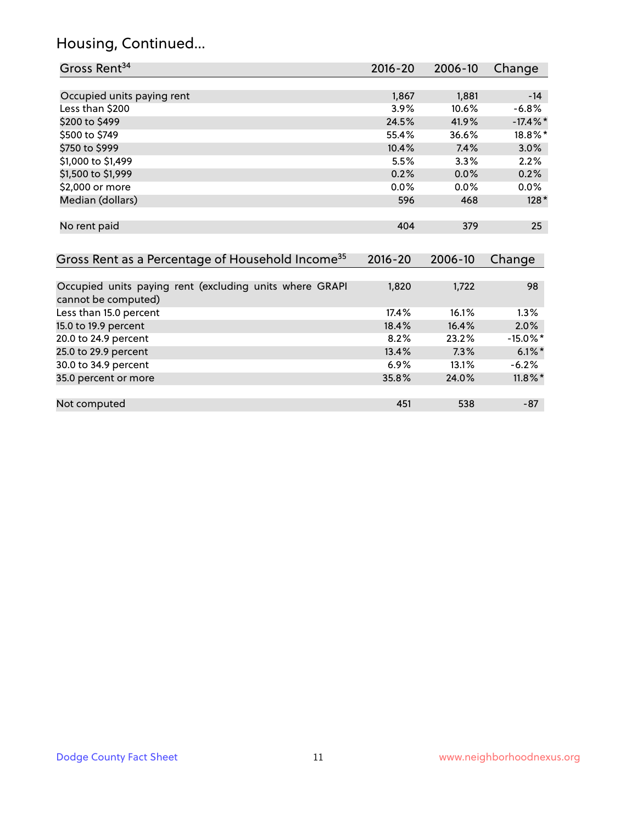# Housing, Continued...

| Gross Rent <sup>34</sup>                                                       | $2016 - 20$ | 2006-10 | Change      |
|--------------------------------------------------------------------------------|-------------|---------|-------------|
|                                                                                |             |         |             |
| Occupied units paying rent                                                     | 1,867       | 1,881   | $-14$       |
| Less than \$200                                                                | 3.9%        | 10.6%   | $-6.8%$     |
| \$200 to \$499                                                                 | 24.5%       | 41.9%   | $-17.4\%$ * |
| \$500 to \$749                                                                 | 55.4%       | 36.6%   | 18.8%*      |
| \$750 to \$999                                                                 | 10.4%       | 7.4%    | 3.0%        |
| \$1,000 to \$1,499                                                             | 5.5%        | 3.3%    | 2.2%        |
| \$1,500 to \$1,999                                                             | 0.2%        | 0.0%    | 0.2%        |
| \$2,000 or more                                                                | 0.0%        | 0.0%    | $0.0\%$     |
| Median (dollars)                                                               | 596         | 468     | $128*$      |
|                                                                                |             |         |             |
| No rent paid                                                                   | 404         | 379     | 25          |
|                                                                                |             |         |             |
| Gross Rent as a Percentage of Household Income <sup>35</sup>                   | $2016 - 20$ | 2006-10 | Change      |
|                                                                                |             |         |             |
| Occupied units paying rent (excluding units where GRAPI<br>cannot be computed) | 1,820       | 1,722   | 98          |
| Less than 15.0 percent                                                         | 17.4%       | 16.1%   | 1.3%        |
| 15.0 to 19.9 percent                                                           | 18.4%       | 16.4%   | 2.0%        |
| 20.0 to 24.9 percent                                                           | 8.2%        | 23.2%   | $-15.0\%$ * |
| 25.0 to 29.9 percent                                                           | 13.4%       | 7.3%    | $6.1\%$ *   |
| 30.0 to 34.9 percent                                                           | 6.9%        | 13.1%   | $-6.2%$     |
| 35.0 percent or more                                                           | 35.8%       | 24.0%   | $11.8\%$ *  |

| Not computed | ┱つ | 538 | $\Omega$<br>٠ο. |
|--------------|----|-----|-----------------|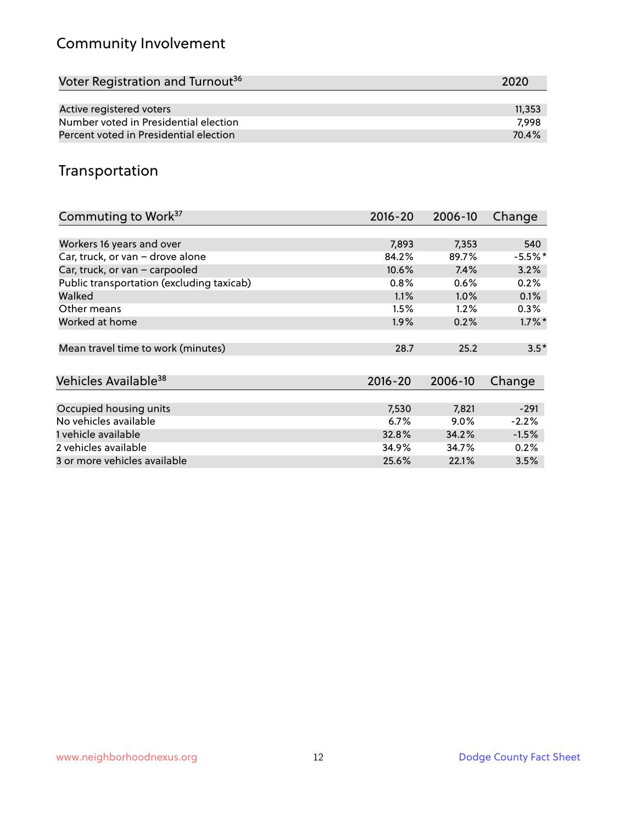# Community Involvement

| Voter Registration and Turnout <sup>36</sup> | 2020   |
|----------------------------------------------|--------|
|                                              |        |
| Active registered voters                     | 11,353 |
| Number voted in Presidential election        | 7.998  |
| Percent voted in Presidential election       | 70.4%  |

## Transportation

| Commuting to Work <sup>37</sup>           | 2016-20     | 2006-10 | Change    |
|-------------------------------------------|-------------|---------|-----------|
|                                           |             |         |           |
| Workers 16 years and over                 | 7,893       | 7,353   | 540       |
| Car, truck, or van - drove alone          | 84.2%       | 89.7%   | $-5.5%$ * |
| Car, truck, or van - carpooled            | 10.6%       | 7.4%    | 3.2%      |
| Public transportation (excluding taxicab) | 0.8%        | 0.6%    | 0.2%      |
| Walked                                    | 1.1%        | $1.0\%$ | 0.1%      |
| Other means                               | 1.5%        | 1.2%    | $0.3\%$   |
| Worked at home                            | $1.9\%$     | 0.2%    | $1.7\%$ * |
|                                           |             |         |           |
| Mean travel time to work (minutes)        | 28.7        | 25.2    | $3.5*$    |
|                                           |             |         |           |
| Vehicles Available <sup>38</sup>          | $2016 - 20$ | 2006-10 | Change    |
|                                           |             |         |           |
| Occupied housing units                    | 7,530       | 7,821   | $-291$    |
| No vehicles available                     | 6.7%        | $9.0\%$ | $-2.2%$   |
| 1 vehicle available                       | 32.8%       | 34.2%   | $-1.5%$   |
| 2 vehicles available                      | 34.9%       | 34.7%   | 0.2%      |
| 3 or more vehicles available              | 25.6%       | 22.1%   | 3.5%      |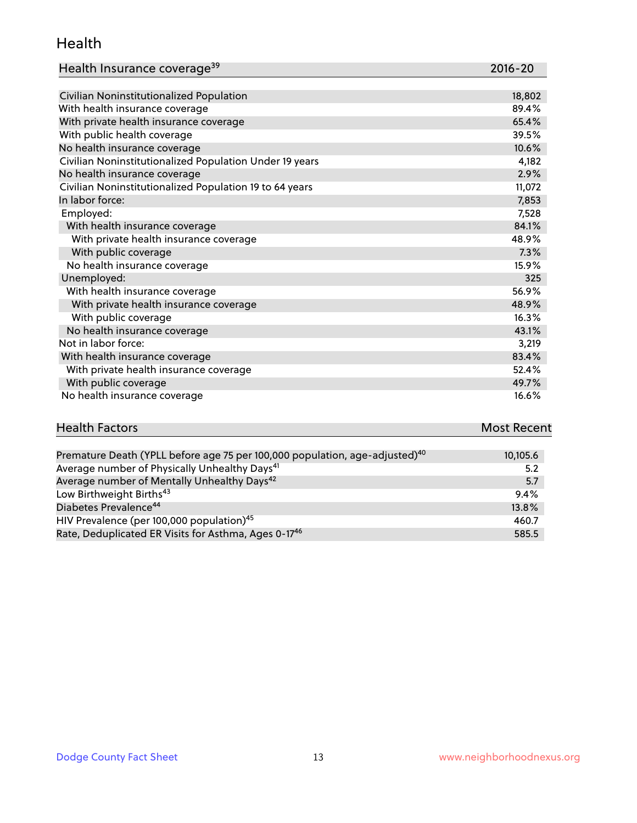#### Health

| Health Insurance coverage <sup>39</sup> | 2016-20 |
|-----------------------------------------|---------|
|-----------------------------------------|---------|

| Civilian Noninstitutionalized Population                | 18,802 |
|---------------------------------------------------------|--------|
| With health insurance coverage                          | 89.4%  |
| With private health insurance coverage                  | 65.4%  |
| With public health coverage                             | 39.5%  |
| No health insurance coverage                            | 10.6%  |
| Civilian Noninstitutionalized Population Under 19 years | 4,182  |
| No health insurance coverage                            | 2.9%   |
| Civilian Noninstitutionalized Population 19 to 64 years | 11,072 |
| In labor force:                                         | 7,853  |
| Employed:                                               | 7,528  |
| With health insurance coverage                          | 84.1%  |
| With private health insurance coverage                  | 48.9%  |
| With public coverage                                    | 7.3%   |
| No health insurance coverage                            | 15.9%  |
| Unemployed:                                             | 325    |
| With health insurance coverage                          | 56.9%  |
| With private health insurance coverage                  | 48.9%  |
| With public coverage                                    | 16.3%  |
| No health insurance coverage                            | 43.1%  |
| Not in labor force:                                     | 3,219  |
| With health insurance coverage                          | 83.4%  |
| With private health insurance coverage                  | 52.4%  |
| With public coverage                                    | 49.7%  |
| No health insurance coverage                            | 16.6%  |

| <b>Health Factors</b> | <b>Most Recent</b> |
|-----------------------|--------------------|
|                       |                    |

| Premature Death (YPLL before age 75 per 100,000 population, age-adjusted) <sup>40</sup> | 10,105.6 |
|-----------------------------------------------------------------------------------------|----------|
| Average number of Physically Unhealthy Days <sup>41</sup>                               | 5.2      |
| Average number of Mentally Unhealthy Days <sup>42</sup>                                 | 5.7      |
| Low Birthweight Births <sup>43</sup>                                                    | 9.4%     |
| Diabetes Prevalence <sup>44</sup>                                                       | 13.8%    |
| HIV Prevalence (per 100,000 population) <sup>45</sup>                                   | 460.7    |
| Rate, Deduplicated ER Visits for Asthma, Ages 0-17 <sup>46</sup>                        | 585.5    |